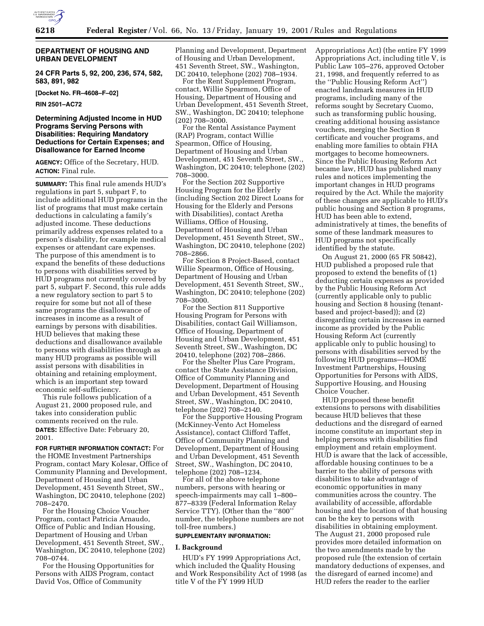

### **DEPARTMENT OF HOUSING AND URBAN DEVELOPMENT**

**24 CFR Parts 5, 92, 200, 236, 574, 582, 583, 891, 982**

**[Docket No. FR–4608–F–02]**

**RIN 2501–AC72**

# **Determining Adjusted Income in HUD Programs Serving Persons with Disabilities: Requiring Mandatory Deductions for Certain Expenses; and Disallowance for Earned Income**

**AGENCY:** Office of the Secretary, HUD. **ACTION:** Final rule.

**SUMMARY:** This final rule amends HUD's regulations in part 5, subpart F, to include additional HUD programs in the list of programs that must make certain deductions in calculating a family's adjusted income. These deductions primarily address expenses related to a person's disability, for example medical expenses or attendant care expenses. The purpose of this amendment is to expand the benefits of these deductions to persons with disabilities served by HUD programs not currently covered by part 5, subpart F. Second, this rule adds a new regulatory section to part 5 to require for some but not all of these same programs the disallowance of increases in income as a result of earnings by persons with disabilities. HUD believes that making these deductions and disallowance available to persons with disabilities through as many HUD programs as possible will assist persons with disabilities in obtaining and retaining employment, which is an important step toward economic self-sufficiency.

This rule follows publication of a August 21, 2000 proposed rule, and takes into consideration public comments received on the rule. **DATES:** Effective Date: February 20, 2001.

#### **FOR FURTHER INFORMATION CONTACT:** For

the HOME Investment Partnerships Program, contact Mary Kolesar, Office of Community Planning and Development, Department of Housing and Urban Development, 451 Seventh Street, SW., Washington, DC 20410, telephone (202) 708–2470.

For the Housing Choice Voucher Program, contact Patricia Arnaudo, Office of Public and Indian Housing, Department of Housing and Urban Development, 451 Seventh Street, SW., Washington, DC 20410, telephone (202) 708–0744.

For the Housing Opportunities for Persons with AIDS Program, contact David Vos, Office of Community

Planning and Development, Department of Housing and Urban Development, 451 Seventh Street, SW., Washington, DC 20410, telephone (202) 708–1934.

For the Rent Supplement Program, contact, Willie Spearmon, Office of Housing, Department of Housing and Urban Development, 451 Seventh Street, SW., Washington, DC 20410; telephone (202) 708–3000.

For the Rental Assistance Payment (RAP) Program, contact Willie Spearmon, Office of Housing, Department of Housing and Urban Development, 451 Seventh Street, SW., Washington, DC 20410; telephone (202) 708–3000.

For the Section 202 Supportive Housing Program for the Elderly (including Section 202 Direct Loans for Housing for the Elderly and Persons with Disabilities), contact Aretha Williams, Office of Housing, Department of Housing and Urban Development, 451 Seventh Street, SW., Washington, DC 20410, telephone (202) 708–2866.

For Section 8 Project-Based, contact Willie Spearmon, Office of Housing, Department of Housing and Urban Development, 451 Seventh Street, SW., Washington, DC 20410; telephone (202) 708–3000.

For the Section 811 Supportive Housing Program for Persons with Disabilities, contact Gail Williamson, Office of Housing, Department of Housing and Urban Development, 451 Seventh Street, SW., Washington, DC 20410, telephone (202) 708–2866.

For the Shelter Plus Care Program, contact the State Assistance Division, Office of Community Planning and Development, Department of Housing and Urban Development, 451 Seventh Street, SW., Washington, DC 20410, telephone (202) 708–2140.

For the Supportive Housing Program (McKinney-Vento Act Homeless Assistance), contact Clifford Taffet, Office of Community Planning and Development, Department of Housing and Urban Development, 451 Seventh Street, SW., Washington, DC 20410, telephone (202) 708–1234.

For all of the above telephone numbers, persons with hearing or speech-impairments may call 1–800– 877–8339 (Federal Information Relay Service TTY). (Other than the ''800'' number, the telephone numbers are not toll-free numbers.)

#### **SUPPLEMENTARY INFORMATION:**

#### **I. Background**

HUD's FY 1999 Appropriations Act, which included the Quality Housing and Work Responsibility Act of 1998 (as title V of the FY 1999 HUD

Appropriations Act) (the entire FY 1999 Appropriations Act, including title V, is Public Law 105–276, approved October 21, 1998, and frequently referred to as the ''Public Housing Reform Act'') enacted landmark measures in HUD programs, including many of the reforms sought by Secretary Cuomo, such as transforming public housing, creating additional housing assistance vouchers, merging the Section 8 certificate and voucher programs, and enabling more families to obtain FHA mortgages to become homeowners. Since the Public Housing Reform Act became law, HUD has published many rules and notices implementing the important changes in HUD programs required by the Act. While the majority of these changes are applicable to HUD's public housing and Section 8 programs, HUD has been able to extend, administratively at times, the benefits of some of these landmark measures to HUD programs not specifically identified by the statute.

On August 21, 2000 (65 FR 50842), HUD published a proposed rule that proposed to extend the benefits of (1) deducting certain expenses as provided by the Public Housing Reform Act (currently applicable only to public housing and Section 8 housing (tenantbased and project-based)); and (2) disregarding certain increases in earned income as provided by the Public Housing Reform Act (currently applicable only to public housing) to persons with disabilities served by the following HUD programs—HOME Investment Partnerships, Housing Opportunities for Persons with AIDS, Supportive Housing, and Housing Choice Voucher.

HUD proposed these benefit extensions to persons with disabilities because HUD believes that these deductions and the disregard of earned income constitute an important step in helping persons with disabilities find employment and retain employment. HUD is aware that the lack of accessible, affordable housing continues to be a barrier to the ability of persons with disabilities to take advantage of economic opportunities in many communities across the country. The availability of accessible, affordable housing and the location of that housing can be the key to persons with disabilities in obtaining employment. The August 21, 2000 proposed rule provides more detailed information on the two amendments made by the proposed rule (the extension of certain mandatory deductions of expenses, and the disregard of earned income) and HUD refers the reader to the earlier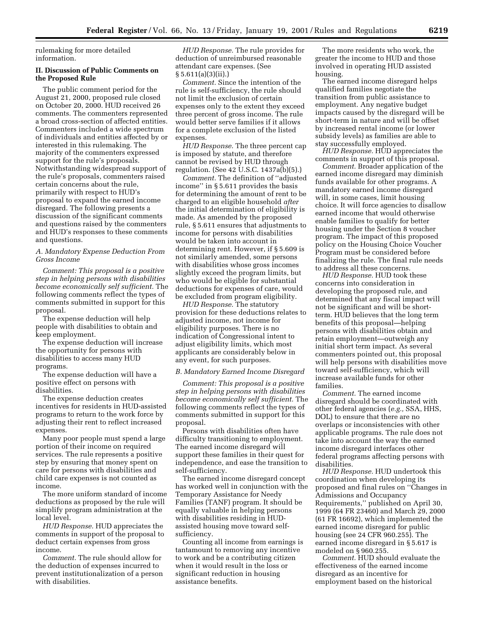rulemaking for more detailed information.

# **II. Discussion of Public Comments on the Proposed Rule**

The public comment period for the August 21, 2000, proposed rule closed on October 20, 2000. HUD received 26 comments. The commenters represented a broad cross-section of affected entities. Commenters included a wide spectrum of individuals and entities affected by or interested in this rulemaking. The majority of the commenters expressed support for the rule's proposals. Notwithstanding widespread support of the rule's proposals, commenters raised certain concerns about the rule, primarily with respect to HUD's proposal to expand the earned income disregard. The following presents a discussion of the significant comments and questions raised by the commenters and HUD's responses to these comments and questions.

#### *A. Mandatory Expense Deduction From Gross Income*

*Comment: This proposal is a positive step in helping persons with disabilities become economically self sufficient.* The following comments reflect the types of comments submitted in support for this proposal.

The expense deduction will help people with disabilities to obtain and keep employment.

The expense deduction will increase the opportunity for persons with disabilities to access many HUD programs.

The expense deduction will have a positive effect on persons with disabilities.

The expense deduction creates incentives for residents in HUD-assisted programs to return to the work force by adjusting their rent to reflect increased expenses.

Many poor people must spend a large portion of their income on required services. The rule represents a positive step by ensuring that money spent on care for persons with disabilities and child care expenses is not counted as income.

The more uniform standard of income deductions as proposed by the rule will simplify program administration at the local level.

*HUD Response.* HUD appreciates the comments in support of the proposal to deduct certain expenses from gross income.

*Comment.* The rule should allow for the deduction of expenses incurred to prevent institutionalization of a person with disabilities.

*HUD Response.* The rule provides for deduction of unreimbursed reasonable attendant care expenses. (See § 5.611(a)(3)(ii).)

*Comment.* Since the intention of the rule is self-sufficiency, the rule should not limit the exclusion of certain expenses only to the extent they exceed three percent of gross income. The rule would better serve families if it allows for a complete exclusion of the listed expenses.

*HUD Response.* The three percent cap is imposed by statute, and therefore cannot be revised by HUD through regulation. (See 42 U.S.C. 1437a(b)(5).)

*Comment.* The definition of ''adjusted income'' in § 5.611 provides the basis for determining the amount of rent to be charged to an eligible household *after* the initial determination of eligibility is made. As amended by the proposed rule, § 5.611 ensures that adjustments to income for persons with disabilities would be taken into account in determining rent. However, if § 5.609 is not similarly amended, some persons with disabilities whose gross incomes slightly exceed the program limits, but who would be eligible for substantial deductions for expenses of care, would be excluded from program eligibility.

*HUD Response.* The statutory provision for these deductions relates to adjusted income, not income for eligibility purposes. There is no indication of Congressional intent to adjust eligibility limits, which most applicants are considerably below in any event, for such purposes.

### *B. Mandatory Earned Income Disregard*

*Comment: This proposal is a positive step in helping persons with disabilities become economically self sufficient.* The following comments reflect the types of comments submitted in support for this proposal.

Persons with disabilities often have difficulty transitioning to employment. The earned income disregard will support these families in their quest for independence, and ease the transition to self-sufficiency.

The earned income disregard concept has worked well in conjunction with the Temporary Assistance for Needy Families (TANF) program. It should be equally valuable in helping persons with disabilities residing in HUDassisted housing move toward selfsufficiency.

Counting all income from earnings is tantamount to removing any incentive to work and be a contributing citizen when it would result in the loss or significant reduction in housing assistance benefits.

The more residents who work, the greater the income to HUD and those involved in operating HUD assisted housing.

The earned income disregard helps qualified families negotiate the transition from public assistance to employment. Any negative budget impacts caused by the disregard will be short-term in nature and will be offset by increased rental income (or lower subsidy levels) as families are able to stay successfully employed.

*HUD Response.* HUD appreciates the comments in support of this proposal.

*Comment.* Broader application of the earned income disregard may diminish funds available for other programs. A mandatory earned income disregard will, in some cases, limit housing choice. It will force agencies to disallow earned income that would otherwise enable families to qualify for better housing under the Section 8 voucher program. The impact of this proposed policy on the Housing Choice Voucher Program must be considered before finalizing the rule. The final rule needs to address all these concerns.

*HUD Response.* HUD took these concerns into consideration in developing the proposed rule, and determined that any fiscal impact will not be significant and will be shortterm. HUD believes that the long term benefits of this proposal—helping persons with disabilities obtain and retain employment—outweigh any initial short term impact. As several commenters pointed out, this proposal will help persons with disabilities move toward self-sufficiency, which will increase available funds for other families.

*Comment.* The earned income disregard should be coordinated with other federal agencies (*e.g.,* SSA, HHS, DOL) to ensure that there are no overlaps or inconsistencies with other applicable programs. The rule does not take into account the way the earned income disregard interfaces other federal programs affecting persons with disabilities.

*HUD Response.* HUD undertook this coordination when developing its proposed and final rules on ''Changes in Admissions and Occupancy Requirements,'' published on April 30, 1999 (64 FR 23460) and March 29, 2000 (61 FR 16692), which implemented the earned income disregard for public housing (see 24 CFR 960.255). The earned income disregard in § 5.617 is modeled on § 960.255.

*Comment.* HUD should evaluate the effectiveness of the earned income disregard as an incentive for employment based on the historical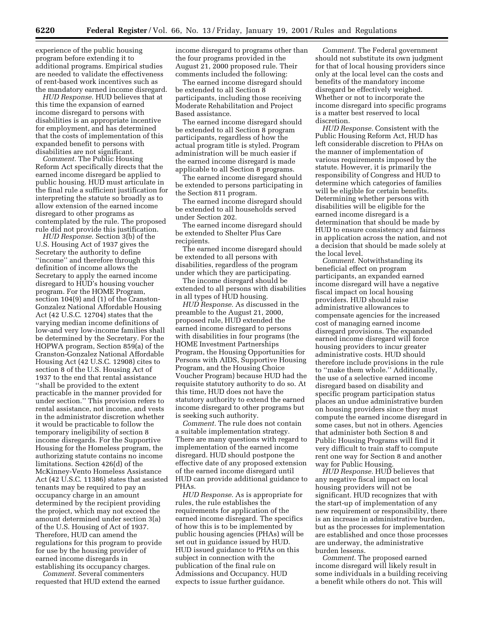experience of the public housing program before extending it to additional programs. Empirical studies are needed to validate the effectiveness of rent-based work incentives such as the mandatory earned income disregard.

*HUD Response.* HUD believes that at this time the expansion of earned income disregard to persons with disabilities is an appropriate incentive for employment, and has determined that the costs of implementation of this expanded benefit to persons with disabilities are not significant.

*Comment.* The Public Housing Reform Act specifically directs that the earned income disregard be applied to public housing. HUD must articulate in the final rule a sufficient justification for interpreting the statute so broadly as to allow extension of the earned income disregard to other programs as contemplated by the rule. The proposed rule did not provide this justification.

*HUD Response.* Section 3(b) of the U.S. Housing Act of 1937 gives the Secretary the authority to define ''income'' and therefore through this definition of income allows the Secretary to apply the earned income disregard to HUD's housing voucher program. For the HOME Program, section 104(9) and (1) of the Cranston-Gonzalez National Affordable Housing Act (42 U.S.C. 12704) states that the varying median income definitions of low-and very low-income families shall be determined by the Secretary. For the HOPWA program, Section 859(a) of the Cranston-Gonzalez National Affordable Housing Act (42 U.S.C. 12908) cites to section 8 of the U.S. Housing Act of 1937 to the end that rental assistance ''shall be provided to the extent practicable in the manner provided for under section.'' This provision refers to rental assistance, not income, and vests in the administrator discretion whether it would be practicable to follow the temporary ineligibility of section 8 income disregards. For the Supportive Housing for the Homeless program, the authorizing statute contains no income limitations. Section 426(d) of the McKinney-Vento Homeless Assistance Act (42 U.S.C. 11386) states that assisted tenants may be required to pay an occupancy charge in an amount determined by the recipient providing the project, which may not exceed the amount determined under section 3(a) of the U.S. Housing of Act of 1937. Therefore, HUD can amend the regulations for this program to provide for use by the housing provider of earned income disregards in establishing its occupancy charges.

*Comment.* Several commenters requested that HUD extend the earned

income disregard to programs other than the four programs provided in the August 21, 2000 proposed rule. Their comments included the following:

The earned income disregard should be extended to all Section 8 participants, including those receiving Moderate Rehabilitation and Project Based assistance.

The earned income disregard should be extended to all Section 8 program participants, regardless of how the actual program title is styled. Program administration will be much easier if the earned income disregard is made applicable to all Section 8 programs.

The earned income disregard should be extended to persons participating in the Section 811 program.

The earned income disregard should be extended to all households served under Section 202.

The earned income disregard should be extended to Shelter Plus Care recipients.

The earned income disregard should be extended to all persons with disabilities, regardless of the program under which they are participating.

The income disregard should be extended to all persons with disabilities in all types of HUD housing.

*HUD Response.* As discussed in the preamble to the August 21, 2000, proposed rule, HUD extended the earned income disregard to persons with disabilities in four programs (the HOME Investment Partnerships Program, the Housing Opportunities for Persons with AIDS, Supportive Housing Program, and the Housing Choice Voucher Program) because HUD had the requisite statutory authority to do so. At this time, HUD does not have the statutory authority to extend the earned income disregard to other programs but is seeking such authority.

*Comment.* The rule does not contain a suitable implementation strategy. There are many questions with regard to implementation of the earned income disregard. HUD should postpone the effective date of any proposed extension of the earned income disregard until HUD can provide additional guidance to PHAs.

*HUD Response.* As is appropriate for rules, the rule establishes the requirements for application of the earned income disregard. The specifics of how this is to be implemented by public housing agencies (PHAs) will be set out in guidance issued by HUD. HUD issued guidance to PHAs on this subject in connection with the publication of the final rule on Admissions and Occupancy. HUD expects to issue further guidance.

*Comment.* The Federal government should not substitute its own judgment for that of local housing providers since only at the local level can the costs and benefits of the mandatory income disregard be effectively weighed. Whether or not to incorporate the income disregard into specific programs is a matter best reserved to local discretion.

*HUD Response.* Consistent with the Public Housing Reform Act, HUD has left considerable discretion to PHAs on the manner of implementation of various requirements imposed by the statute. However, it is primarily the responsibility of Congress and HUD to determine which categories of families will be eligible for certain benefits. Determining whether persons with disabilities will be eligible for the earned income disregard is a determination that should be made by HUD to ensure consistency and fairness in application across the nation, and not a decision that should be made solely at the local level.

*Comment.* Notwithstanding its beneficial effect on program participants, an expanded earned income disregard will have a negative fiscal impact on local housing providers. HUD should raise administrative allowances to compensate agencies for the increased cost of managing earned income disregard provisions. The expanded earned income disregard will force housing providers to incur greater administrative costs. HUD should therefore include provisions in the rule to ''make them whole.'' Additionally, the use of a selective earned income disregard based on disability and specific program participation status places an undue administrative burden on housing providers since they must compute the earned income disregard in some cases, but not in others. Agencies that administer both Section 8 and Public Housing Programs will find it very difficult to train staff to compute rent one way for Section 8 and another way for Public Housing.

*HUD Response.* HUD believes that any negative fiscal impact on local housing providers will not be significant. HUD recognizes that with the start-up of implementation of any new requirement or responsibility, there is an increase in administrative burden, but as the processes for implementation are established and once those processes are underway, the administrative burden lessens.

*Comment.* The proposed earned income disregard will likely result in some individuals in a building receiving a benefit while others do not. This will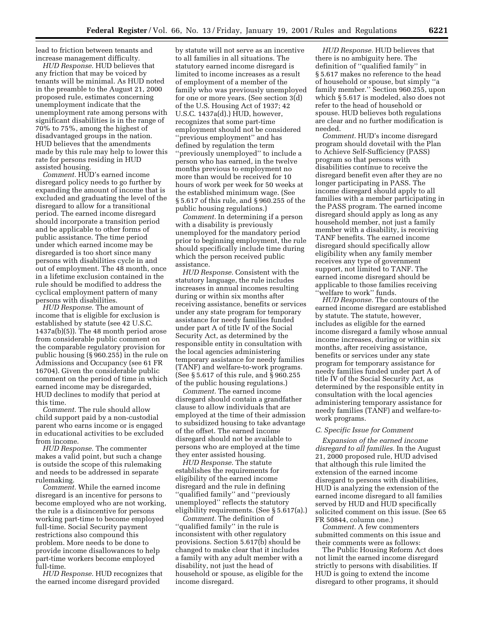lead to friction between tenants and increase management difficulty.

*HUD Response.* HUD believes that any friction that may be voiced by tenants will be minimal. As HUD noted in the preamble to the August 21, 2000 proposed rule, estimates concerning unemployment indicate that the unemployment rate among persons with significant disabilities is in the range of 70% to 75%, among the highest of disadvantaged groups in the nation. HUD believes that the amendments made by this rule may help to lower this rate for persons residing in HUD assisted housing.

*Comment.* HUD's earned income disregard policy needs to go further by expanding the amount of income that is excluded and graduating the level of the disregard to allow for a transitional period. The earned income disregard should incorporate a transition period and be applicable to other forms of public assistance. The time period under which earned income may be disregarded is too short since many persons with disabilities cycle in and out of employment. The 48 month, once in a lifetime exclusion contained in the rule should be modified to address the cyclical employment pattern of many persons with disabilities.

*HUD Response.* The amount of income that is eligible for exclusion is established by statute (see 42 U.S.C. 1437a(b)(5)). The 48 month period arose from considerable public comment on the comparable regulatory provision for public housing (§ 960.255) in the rule on Admissions and Occupancy (see 61 FR 16704). Given the considerable public comment on the period of time in which earned income may be disregarded, HUD declines to modify that period at this time.

*Comment.* The rule should allow child support paid by a non-custodial parent who earns income or is engaged in educational activities to be excluded from income.

*HUD Response.* The commenter makes a valid point, but such a change is outside the scope of this rulemaking and needs to be addressed in separate rulemaking.

*Comment.* While the earned income disregard is an incentive for persons to become employed who are not working, the rule is a disincentive for persons working part-time to become employed full-time. Social Security payment restrictions also compound this problem. More needs to be done to provide income disallowances to help part-time workers become employed full-time.

*HUD Response.* HUD recognizes that the earned income disregard provided

by statute will not serve as an incentive to all families in all situations. The statutory earned income disregard is limited to income increases as a result of employment of a member of the family who was previously unemployed for one or more years. (See section 3(d) of the U.S. Housing Act of 1937; 42 U.S.C. 1437a(d).) HUD, however, recognizes that some part-time employment should not be considered ''previous employment'' and has defined by regulation the term ''previously unemployed'' to include a person who has earned, in the twelve months previous to employment no more than would be received for 10 hours of work per week for 50 weeks at the established minimum wage. (See § 5.617 of this rule, and § 960.255 of the public housing regulations.)

*Comment.* In determining if a person with a disability is previously unemployed for the mandatory period prior to beginning employment, the rule should specifically include time during which the person received public assistance.

*HUD Response.* Consistent with the statutory language, the rule includes increases in annual incomes resulting during or within six months after receiving assistance, benefits or services under any state program for temporary assistance for needy families funded under part A of title IV of the Social Security Act, as determined by the responsible entity in consultation with the local agencies administering temporary assistance for needy families (TANF) and welfare-to-work programs. (See § 5.617 of this rule, and § 960.255 of the public housing regulations.)

*Comment.* The earned income disregard should contain a grandfather clause to allow individuals that are employed at the time of their admission to subsidized housing to take advantage of the offset. The earned income disregard should not be available to persons who are employed at the time they enter assisted housing.

*HUD Response.* The statute establishes the requirements for eligibility of the earned income disregard and the rule in defining ''qualified family'' and ''previously unemployed'' reflects the statutory eligibility requirements. (See § 5.617(a).)

*Comment.* The definition of ''qualified family'' in the rule is inconsistent with other regulatory provisions. Section 5.617(b) should be changed to make clear that it includes a family with any adult member with a disability, not just the head of household or spouse, as eligible for the income disregard.

*HUD Response.* HUD believes that there is no ambiguity here. The definition of ''qualified family'' in § 5.617 makes no reference to the head of household or spouse, but simply ''a family member.'' Section 960.255, upon which § 5.617 is modeled, also does not refer to the head of household or spouse. HUD believes both regulations are clear and no further modification is needed.

*Comment.* HUD's income disregard program should dovetail with the Plan to Achieve Self-Sufficiency (PASS) program so that persons with disabilities continue to receive the disregard benefit even after they are no longer participating in PASS. The income disregard should apply to all families with a member participating in the PASS program. The earned income disregard should apply as long as any household member, not just a family member with a disability, is receiving TANF benefits. The earned income disregard should specifically allow eligibility when any family member receives any type of government support, not limited to TANF. The earned income disregard should be applicable to those families receiving 'welfare to work" funds.

*HUD Response.* The contours of the earned income disregard are established by statute. The statute, however, includes as eligible for the earned income disregard a family whose annual income increases, during or within six months, after receiving assistance, benefits or services under any state program for temporary assistance for needy families funded under part A of title IV of the Social Security Act, as determined by the responsible entity in consultation with the local agencies administering temporary assistance for needy families (TANF) and welfare-towork programs.

# *C. Specific Issue for Comment*

*Expansion of the earned income disregard to all families.* In the August 21, 2000 proposed rule, HUD advised that although this rule limited the extension of the earned income disregard to persons with disabilities, HUD is analyzing the extension of the earned income disregard to all families served by HUD and HUD specifically solicited comment on this issue. (See 65 FR 50844, column one.)

*Comment.* A few commenters submitted comments on this issue and their comments were as follows:

The Public Housing Reform Act does not limit the earned income disregard strictly to persons with disabilities. If HUD is going to extend the income disregard to other programs, it should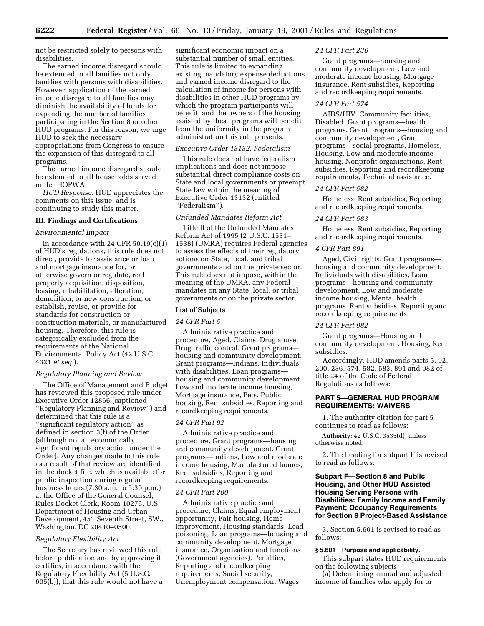not be restricted solely to persons with disabilities.

The earned income disregard should be extended to all families not only families with persons with disabilities. However, application of the earned income disregard to all families may diminish the availability of funds for expanding the number of families participating in the Section 8 or other HUD programs. For this reason, we urge HUD to seek the necessary appropriations from Congress to ensure the expansion of this disregard to all programs.

The earned income disregard should be extended to all households served under HOPWA.

*HUD Response.* HUD appreciates the comments on this issue, and is continuing to study this matter.

#### **III. Findings and Certifications**

# *Environmental Impact*

In accordance with 24 CFR  $50.19(c)(1)$ of HUD's regulations, this rule does not direct, provide for assistance or loan and mortgage insurance for, or otherwise govern or regulate, real property acquisition, disposition, leasing, rehabilitation, alteration, demolition, or new construction, or establish, revise, or provide for standards for construction or construction materials, or manufactured housing. Therefore, this rule is categorically excluded from the requirements of the National Environmental Policy Act (42 U.S.C. 4321 *et seq.*).

## *Regulatory Planning and Review*

The Office of Management and Budget has reviewed this proposed rule under Executive Order 12866 (captioned ''Regulatory Planning and Review'') and determined that this rule is a ''significant regulatory action'' as defined in section 3(f) of the Order (although not an economically significant regulatory action under the Order). Any changes made to this rule as a result of that review are identified in the docket file, which is available for public inspection during regular business hours (7:30 a.m. to 5:30 p.m.) at the Office of the General Counsel, Rules Docket Clerk, Room 10276, U.S. Department of Housing and Urban Development, 451 Seventh Street, SW., Washington, DC 20410–0500.

### *Regulatory Flexibility Act*

The Secretary has reviewed this rule before publication and by approving it certifies, in accordance with the Regulatory Flexibility Act (5 U.S.C. 605(b)), that this rule would not have a significant economic impact on a substantial number of small entities. This rule is limited to expanding existing mandatory expense deductions and earned income disregard to the calculation of income for persons with disabilities in other HUD programs by which the program participants will benefit, and the owners of the housing assisted by these programs will benefit from the uniformity in the program administration this rule presents.

### *Executive Order 13132, Federalism*

This rule does not have federalism implications and does not impose substantial direct compliance costs on State and local governments or preempt State law within the meaning of Executive Order 13132 (entitled ''Federalism'').

## *Unfunded Mandates Reform Act*

Title II of the Unfunded Mandates Reform Act of 1995 (2 U.S.C. 1531– 1538) (UMRA) requires Federal agencies to assess the effects of their regulatory actions on State, local, and tribal governments and on the private sector. This rule does not impose, within the meaning of the UMRA, any Federal mandates on any State, local, or tribal governments or on the private sector.

#### **List of Subjects**

# *24 CFR Part 5*

Administrative practice and procedure, Aged, Claims, Drug abuse, Drug traffic control, Grant programs housing and community development, Grant programs—Indians, Individuals with disabilities, Loan programs housing and community development, Low and moderate income housing, Mortgage insurance, Pets, Public housing, Rent subsidies, Reporting and recordkeeping requirements.

#### *24 CFR Part 92*

Administrative practice and procedure, Grant programs—housing and community development, Grant programs—Indians, Low and moderate income housing, Manufactured homes, Rent subsidies, Reporting and recordkeeping requirements.

#### *24 CFR Part 200*

Administrative practice and procedure, Claims, Equal employment opportunity, Fair housing, Home improvement, Housing standards, Lead poisoning, Loan programs—housing and community development, Mortgage insurance, Organization and functions (Government agencies), Penalties, Reporting and recordkeeping requirements, Social security, Unemployment compensation, Wages.

#### *24 CFR Part 236*

Grant programs—housing and community development, Low and moderate income housing, Mortgage insurance, Rent subsidies, Reporting and recordkeeping requirements.

### *24 CFR Part 574*

AIDS/HIV, Community facilities, Disabled, Grant programs—health programs, Grant programs—housing and community development, Grant programs—social programs, Homeless, Housing, Low and moderate income housing, Nonprofit organizations, Rent subsidies, Reporting and recordkeeping requirements, Technical assistance.

#### *24 CFR Part 582*

Homeless, Rent subsidies, Reporting and recordkeeping requirements.

#### *24 CFR Part 583*

Homeless, Rent subsidies, Reporting and recordkeeping requirements.

# *4 CFR Part 891*

Aged, Civil rights, Grant programs housing and community development, Individuals with disabilities, Loan programs—housing and community development, Low and moderate income housing, Mental health programs, Rent subsidies, Reporting and recordkeeping requirements.

# *24 CFR Part 982*

Grant programs—Housing and community development, Housing, Rent subsidies.

Accordingly, HUD amends parts 5, 92, 200, 236, 574, 582, 583, 891 and 982 of title 24 of the Code of Federal Regulations as follows:

## **PART 5—GENERAL HUD PROGRAM REQUIREMENTS; WAIVERS**

1. The authority citation for part 5 continues to read as follows:

**Authority:** 42 U.S.C. 3535(d), unless otherwise noted.

2. The heading for subpart F is revised to read as follows:

## **Subpart F—Section 8 and Public Housing, and Other HUD Assisted Housing Serving Persons with Disabilities: Family Income and Family Payment; Occupancy Requirements for Section 8 Project-Based Assistance**

3. Section 5.601 is revised to read as follows:

#### **§ 5.601 Purpose and applicability.**

This subpart states HUD requirements on the following subjects:

(a) Determining annual and adjusted income of families who apply for or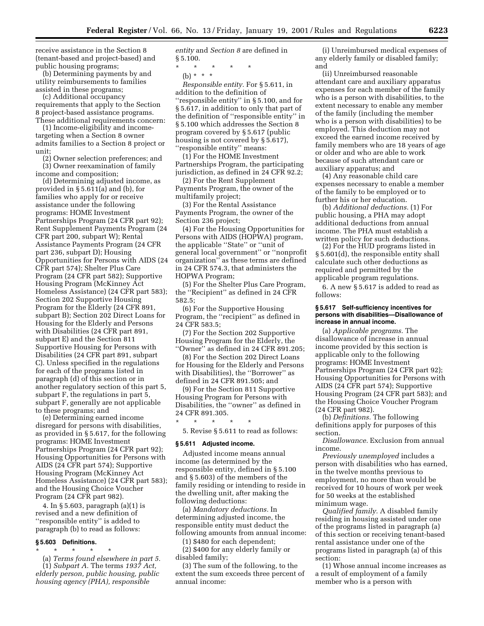receive assistance in the Section 8 (tenant-based and project-based) and public housing programs;

(b) Determining payments by and utility reimbursements to families assisted in these programs;

(c) Additional occupancy requirements that apply to the Section 8 project-based assistance programs. These additional requirements concern:

(1) Income-eligibility and incometargeting when a Section 8 owner admits families to a Section 8 project or unit;

(2) Owner selection preferences; and (3) Owner reexamination of family income and composition;

(d) Determining adjusted income, as provided in § 5.611(a) and (b), for families who apply for or receive assistance under the following programs: HOME Investment Partnerships Program (24 CFR part 92); Rent Supplement Payments Program (24 CFR part 200, subpart W); Rental Assistance Payments Program (24 CFR part 236, subpart D); Housing Opportunities for Persons with AIDS (24 CFR part 574); Shelter Plus Care Program (24 CFR part 582); Supportive Housing Program (McKinney Act Homeless Assistance) (24 CFR part 583); Section 202 Supportive Housing Program for the Elderly (24 CFR 891, subpart B); Section 202 Direct Loans for Housing for the Elderly and Persons with Disabilities (24 CFR part 891, subpart E) and the Section 811 Supportive Housing for Persons with Disabilities (24 CFR part 891, subpart C). Unless specified in the regulations for each of the programs listed in paragraph (d) of this section or in another regulatory section of this part 5, subpart F, the regulations in part 5, subpart F, generally are not applicable to these programs; and

(e) Determining earned income disregard for persons with disabilities, as provided in § 5.617, for the following programs: HOME Investment Partnerships Program (24 CFR part 92); Housing Opportunities for Persons with AIDS (24 CFR part 574); Supportive Housing Program (McKinney Act Homeless Assistance) (24 CFR part 583); and the Housing Choice Voucher Program (24 CFR part 982).

4. In § 5.603, paragraph (a)(1) is revised and a new definition of ''responsible entity'' is added to paragraph (b) to read as follows:

### **§ 5.603 Definitions.**

\* \* \* \* \*

(a) *Terms found elsewhere in part 5.* (1) *Subpart A.* The terms *1937 Act, elderly person, public housing, public housing agency (PHA), responsible*

*entity* and *Section 8* are defined in § 5.100.

\* \* \* \* \*

(b) \* \* \*

*Responsible entity.* For § 5.611, in addition to the definition of ''responsible entity'' in § 5.100, and for § 5.617, in addition to only that part of the definition of ''responsible entity'' in § 5.100 which addresses the Section 8 program covered by § 5.617 (public housing is not covered by § 5.617), ''responsible entity'' means:

(1) For the HOME Investment Partnerships Program, the participating jurisdiction, as defined in 24 CFR 92.2;

(2) For the Rent Supplement Payments Program, the owner of the multifamily project;

(3) For the Rental Assistance Payments Program, the owner of the Section 236 project;

(4) For the Housing Opportunities for Persons with AIDS (HOPWA) program, the applicable ''State'' or ''unit of general local government'' or ''nonprofit organization'' as these terms are defined in 24 CFR 574.3, that administers the HOPWA Program;

(5) For the Shelter Plus Care Program, the ''Recipient'' as defined in 24 CFR 582.5;

(6) For the Supportive Housing Program, the ''recipient'' as defined in 24 CFR 583.5;

(7) For the Section 202 Supportive Housing Program for the Elderly, the "Owner" as defined in 24 CFR 891.205;

(8) For the Section 202 Direct Loans for Housing for the Elderly and Persons with Disabilities), the ''Borrower'' as defined in 24 CFR 891.505; and

(9) For the Section 811 Supportive Housing Program for Persons with Disabilities, the ''owner'' as defined in 24 CFR 891.305.

5. Revise § 5.611 to read as follows:

## **§ 5.611 Adjusted income.**

\* \* \* \* \*

Adjusted income means annual income (as determined by the responsible entity, defined in § 5.100 and § 5.603) of the members of the family residing or intending to reside in the dwelling unit, after making the following deductions:

(a) *Mandatory deductions.* In determining adjusted income, the responsible entity must deduct the following amounts from annual income:

(1) \$480 for each dependent;

(2) \$400 for any elderly family or disabled family;

(3) The sum of the following, to the extent the sum exceeds three percent of annual income:

(i) Unreimbursed medical expenses of any elderly family or disabled family; and

(ii) Unreimbursed reasonable attendant care and auxiliary apparatus expenses for each member of the family who is a person with disabilities, to the extent necessary to enable any member of the family (including the member who is a person with disabilities) to be employed. This deduction may not exceed the earned income received by family members who are 18 years of age or older and who are able to work because of such attendant care or auxiliary apparatus; and

(4) Any reasonable child care expenses necessary to enable a member of the family to be employed or to further his or her education.

(b) *Additional deductions.* (1) For public housing, a PHA may adopt additional deductions from annual income. The PHA must establish a written policy for such deductions.

(2) For the HUD programs listed in § 5.601(d), the responsible entity shall calculate such other deductions as required and permitted by the applicable program regulations.

6. A new § 5.617 is added to read as follows:

#### **§ 5.617 Self-sufficiency incentives for persons with disabilities—Disallowance of increase in annual income.**

(a) *Applicable programs.* The disallowance of increase in annual income provided by this section is applicable only to the following programs: HOME Investment Partnerships Program (24 CFR part 92); Housing Opportunities for Persons with AIDS (24 CFR part 574); Supportive Housing Program (24 CFR part 583); and the Housing Choice Voucher Program (24 CFR part 982).

(b) *Definitions.* The following definitions apply for purposes of this section.

*Disallowance.* Exclusion from annual income.

*Previously unemployed* includes a person with disabilities who has earned, in the twelve months previous to employment, no more than would be received for 10 hours of work per week for 50 weeks at the established minimum wage.

*Qualified family.* A disabled family residing in housing assisted under one of the programs listed in paragraph (a) of this section or receiving tenant-based rental assistance under one of the programs listed in paragraph (a) of this section:

(1) Whose annual income increases as a result of employment of a family member who is a person with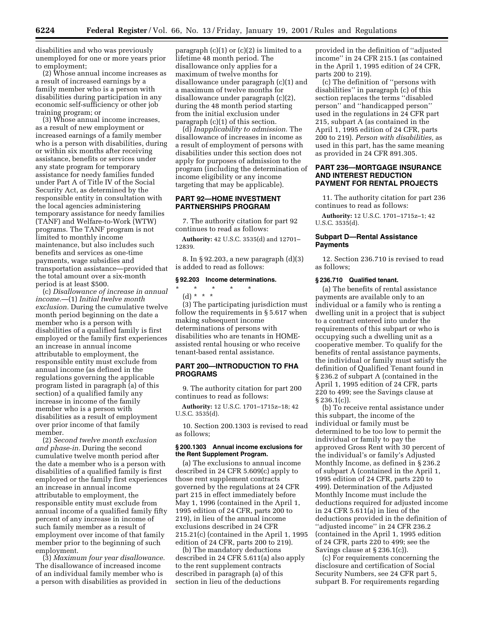disabilities and who was previously unemployed for one or more years prior to employment;

(2) Whose annual income increases as a result of increased earnings by a family member who is a person with disabilities during participation in any economic self-sufficiency or other job training program; or

(3) Whose annual income increases, as a result of new employment or increased earnings of a family member who is a person with disabilities, during or within six months after receiving assistance, benefits or services under any state program for temporary assistance for needy families funded under Part A of Title IV of the Social Security Act, as determined by the responsible entity in consultation with the local agencies administering temporary assistance for needy families (TANF) and Welfare-to-Work (WTW) programs. The TANF program is not limited to monthly income maintenance, but also includes such benefits and services as one-time payments, wage subsidies and transportation assistance—provided that the total amount over a six-month period is at least \$500.

(c) *Disallowance of increase in annual income.*—(1) *Initial twelve month exclusion.* During the cumulative twelve month period beginning on the date a member who is a person with disabilities of a qualified family is first employed or the family first experiences an increase in annual income attributable to employment, the responsible entity must exclude from annual income (as defined in the regulations governing the applicable program listed in paragraph (a) of this section) of a qualified family any increase in income of the family member who is a person with disabilities as a result of employment over prior income of that family member.

(2) *Second twelve month exclusion and phase-in.* During the second cumulative twelve month period after the date a member who is a person with disabilities of a qualified family is first employed or the family first experiences an increase in annual income attributable to employment, the responsible entity must exclude from annual income of a qualified family fifty percent of any increase in income of such family member as a result of employment over income of that family member prior to the beginning of such employment.

(3) *Maximum four year disallowance.* The disallowance of increased income of an individual family member who is a person with disabilities as provided in

paragraph  $(c)(1)$  or  $(c)(2)$  is limited to a lifetime 48 month period. The disallowance only applies for a maximum of twelve months for disallowance under paragraph (c)(1) and a maximum of twelve months for disallowance under paragraph (c)(2), during the 48 month period starting from the initial exclusion under paragraph (c)(1) of this section.

(d) *Inapplicability to admission.* The disallowance of increases in income as a result of employment of persons with disabilities under this section does not apply for purposes of admission to the program (including the determination of income eligibility or any income targeting that may be applicable).

# **PART 92—HOME INVESTMENT PARTNERSHIPS PROGRAM**

7. The authority citation for part 92 continues to read as follows:

**Authority:** 42 U.S.C. 3535(d) and 12701– 12839.

8. In § 92.203, a new paragraph (d)(3) is added to read as follows:

### **§ 92.203 Income determinations.**

\* \* \* \* \*

(d) \* \* \*

(3) The participating jurisdiction must follow the requirements in § 5.617 when making subsequent income determinations of persons with disabilities who are tenants in HOMEassisted rental housing or who receive tenant-based rental assistance.

### **PART 200—INTRODUCTION TO FHA PROGRAMS**

9. The authority citation for part 200 continues to read as follows:

**Authority:** 12 U.S.C. 1701–1715z–18; 42 U.S.C. 3535(d).

10. Section 200.1303 is revised to read as follows;

#### **§ 200.1303 Annual income exclusions for the Rent Supplement Program.**

(a) The exclusions to annual income described in 24 CFR 5.609(c) apply to those rent supplement contracts governed by the regulations at 24 CFR part 215 in effect immediately before May 1, 1996 (contained in the April 1, 1995 edition of 24 CFR, parts 200 to 219), in lieu of the annual income exclusions described in 24 CFR 215.21(c) (contained in the April 1, 1995 edition of 24 CFR, parts 200 to 219).

(b) The mandatory deductions described in 24 CFR 5.611(a) also apply to the rent supplement contracts described in paragraph (a) of this section in lieu of the deductions

provided in the definition of ''adjusted income'' in 24 CFR 215.1 (as contained in the April 1, 1995 edition of 24 CFR, parts 200 to 219).

(c) The definition of ''persons with disabilities'' in paragraph (c) of this section replaces the terms ''disabled person'' and ''handicapped person'' used in the regulations in 24 CFR part 215, subpart A (as contained in the April 1, 1995 edition of 24 CFR, parts 200 to 219). *Person with disabilities,* as used in this part, has the same meaning as provided in 24 CFR 891.305.

## **PART 236—MORTGAGE INSURANCE AND INTEREST REDUCTION PAYMENT FOR RENTAL PROJECTS**

11. The authority citation for part 236 continues to read as follows:

**Authority:** 12 U.S.C. 1701–1715z–1; 42 U.S.C. 3535(d).

#### **Subpart D—Rental Assistance Payments**

12. Section 236.710 is revised to read as follows;

#### **§ 236.710 Qualified tenant.**

(a) The benefits of rental assistance payments are available only to an individual or a family who is renting a dwelling unit in a project that is subject to a contract entered into under the requirements of this subpart or who is occupying such a dwelling unit as a cooperative member. To qualify for the benefits of rental assistance payments, the individual or family must satisfy the definition of Qualified Tenant found in § 236.2 of subpart A (contained in the April 1, 1995 edition of 24 CFR, parts 220 to 499; see the Savings clause at § 236.1(c)).

(b) To receive rental assistance under this subpart, the income of the individual or family must be determined to be too low to permit the individual or family to pay the approved Gross Rent with 30 percent of the individual's or family's Adjusted Monthly Income, as defined in § 236.2 of subpart A (contained in the April 1, 1995 edition of 24 CFR, parts 220 to 499). Determination of the Adjusted Monthly Income must include the deductions required for adjusted income in 24 CFR 5.611(a) in lieu of the deductions provided in the definition of ''adjusted income'' in 24 CFR 236.2 (contained in the April 1, 1995 edition of 24 CFR, parts 220 to 499; see the Savings clause at § 236.1(c)).

(c) For requirements concerning the disclosure and certification of Social Security Numbers, see 24 CFR part 5, subpart B. For requirements regarding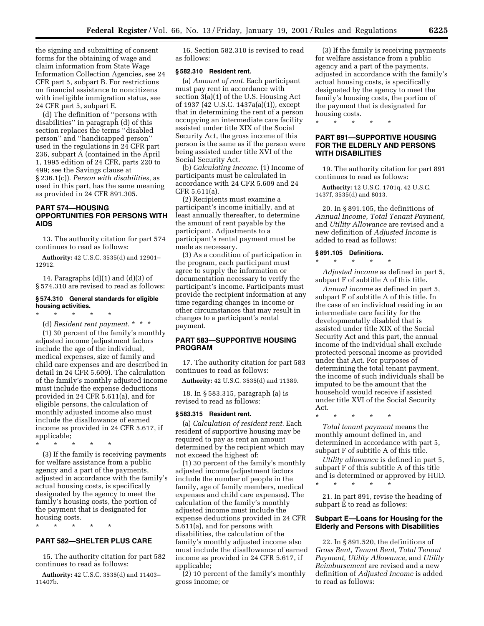the signing and submitting of consent forms for the obtaining of wage and claim information from State Wage Information Collection Agencies, see 24 CFR part 5, subpart B. For restrictions on financial assistance to noncitizens with ineligible immigration status, see 24 CFR part 5, subpart E.

(d) The definition of ''persons with disabilities'' in paragraph (d) of this section replaces the terms ''disabled person'' and ''handicapped person'' used in the regulations in 24 CFR part 236, subpart A (contained in the April 1, 1995 edition of 24 CFR, parts 220 to 499; see the Savings clause at § 236.1(c)). *Person with disabilities,* as used in this part, has the same meaning as provided in 24 CFR 891.305.

# **PART 574—HOUSING OPPORTUNITIES FOR PERSONS WITH AIDS**

13. The authority citation for part 574 continues to read as follows:

**Authority:** 42 U.S.C. 3535(d) and 12901– 12912.

14. Paragraphs  $(d)(1)$  and  $(d)(3)$  of § 574.310 are revised to read as follows:

# **§ 574.310 General standards for eligible housing activities.**

\* \* \* \* \*

(d) *Resident rent payment.* \*\*\* (1) 30 percent of the family's monthly adjusted income (adjustment factors include the age of the individual, medical expenses, size of family and child care expenses and are described in detail in 24 CFR 5.609). The calculation of the family's monthly adjusted income must include the expense deductions provided in 24 CFR 5.611(a), and for eligible persons, the calculation of monthly adjusted income also must include the disallowance of earned income as provided in 24 CFR 5.617, if applicable;

\* \* \* \* \*

(3) If the family is receiving payments for welfare assistance from a public agency and a part of the payments, adjusted in accordance with the family's actual housing costs, is specifically designated by the agency to meet the family's housing costs, the portion of the payment that is designated for housing costs.

\* \* \* \* \*

# **PART 582—SHELTER PLUS CARE**

15. The authority citation for part 582 continues to read as follows:

**Authority:** 42 U.S.C. 3535(d) and 11403– 11407b.

16. Section 582.310 is revised to read as follows:

#### **§ 582.310 Resident rent.**

(a) *Amount of rent.* Each participant must pay rent in accordance with section 3(a)(1) of the U.S. Housing Act of 1937 (42 U.S.C. 1437a(a)(1)), except that in determining the rent of a person occupying an intermediate care facility assisted under title XIX of the Social Security Act, the gross income of this person is the same as if the person were being assisted under title XVI of the Social Security Act.

(b) *Calculating income.* (1) Income of participants must be calculated in accordance with 24 CFR 5.609 and 24 CFR 5.611(a).

(2) Recipients must examine a participant's income initially, and at least annually thereafter, to determine the amount of rent payable by the participant. Adjustments to a participant's rental payment must be made as necessary.

(3) As a condition of participation in the program, each participant must agree to supply the information or documentation necessary to verify the participant's income. Participants must provide the recipient information at any time regarding changes in income or other circumstances that may result in changes to a participant's rental payment.

# **PART 583—SUPPORTIVE HOUSING PROGRAM**

17. The authority citation for part 583 continues to read as follows:

**Authority:** 42 U.S.C. 3535(d) and 11389.

18. In § 583.315, paragraph (a) is revised to read as follows:

## **§ 583.315 Resident rent.**

(a) *Calculation of resident rent.* Each resident of supportive housing may be required to pay as rent an amount determined by the recipient which may not exceed the highest of:

(1) 30 percent of the family's monthly adjusted income (adjustment factors include the number of people in the family, age of family members, medical expenses and child care expenses). The calculation of the family's monthly adjusted income must include the expense deductions provided in 24 CFR 5.611(a), and for persons with disabilities, the calculation of the family's monthly adjusted income also must include the disallowance of earned income as provided in 24 CFR 5.617, if applicable;

(2) 10 percent of the family's monthly gross income; or

(3) If the family is receiving payments for welfare assistance from a public agency and a part of the payments, adjusted in accordance with the family's actual housing costs, is specifically designated by the agency to meet the family's housing costs, the portion of the payment that is designated for housing costs.

\* \* \* \* \*

# **PART 891—SUPPORTIVE HOUSING FOR THE ELDERLY AND PERSONS WITH DISABILITIES**

19. The authority citation for part 891 continues to read as follows:

**Authority:** 12 U.S.C. 1701q, 42 U.S.C. 1437f, 3535(d) and 8013.

20. In § 891.105, the definitions of *Annual Income, Total Tenant Payment,* and *Utility Allowance* are revised and a new definition of *Adjusted Income* is added to read as follows:

# **§ 891.105 Definitions.** \* \* \* \* \*

*Adjusted income* as defined in part 5, subpart F of subtitle A of this title.

*Annual income* as defined in part 5, subpart F of subtitle A of this title. In the case of an individual residing in an intermediate care facility for the developmentally disabled that is assisted under title XIX of the Social Security Act and this part, the annual income of the individual shall exclude protected personal income as provided under that Act. For purposes of determining the total tenant payment, the income of such individuals shall be imputed to be the amount that the household would receive if assisted under title XVI of the Social Security Act.

*Total tenant payment* means the monthly amount defined in, and determined in accordance with part 5, subpart F of subtitle A of this title.

\* \* \* \* \*

*Utility allowance* is defined in part 5, subpart F of this subtitle A of this title and is determined or approved by HUD. \* \* \* \* \*

21. In part 891, revise the heading of subpart E to read as follows:

#### **Subpart E—Loans for Housing for the Elderly and Persons with Disabilities**

22. In § 891.520, the definitions of *Gross Rent, Tenant Rent, Total Tenant Payment, Utility Allowance,* and *Utility Reimbursement* are revised and a new definition of *Adjusted Income* is added to read as follows: